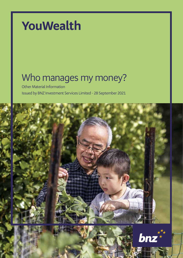# **YouWealth**

# Who manages my money?

Other Material Information Issued by BNZ Investment Services Limited - 28 September 2021



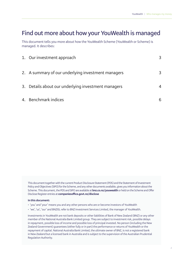## **Find out more about how your YouWealth is managed**

This document tells you more about how the YouWealth Scheme (YouWealth or Scheme) is managed. It describes:

| 1. Our investment approach                          | 3 |
|-----------------------------------------------------|---|
| 2. A summary of our underlying investment managers  | 3 |
| 3. Details about our underlying investment managers | 4 |
| 4. Benchmark indices                                | 6 |

This document together with the current Product Disclosure Statement (PDS) and the Statement of Investment Policy and Objectives (SIPO) for the Scheme, and any other documents available, gives you information about the Scheme. This document, the PDS and SIPO are available at **bnz.co.nz/youwealth** or held on the Scheme and Offer Disclose Register entries at **companiesoffice.govt.nz/disclose**

#### **In this document:**

- 'you' and 'your' means you and any other persons who are or become investors of YouWealth
- 'we', 'us', 'our' and BNZISL refer to BNZ Investment Services Limited, the manager of YouWealth.

Investments in YouWealth are not bank deposits or other liabilities of Bank of New Zealand (BNZ) or any other member of the National Australia Bank Limited group. They are subject to investment risk, possible delays in repayment, possible loss of income and possible loss of principal invested. No person (including the New Zealand Government) guarantees (either fully or in part) the performance or returns of YouWealth or the repayment of capital. National Australia Bank Limited, the ultimate owner of BNZ, is not a registered bank in New Zealand but a licensed bank in Australia and is subject to the supervision of the Australian Prudential Regulation Authority.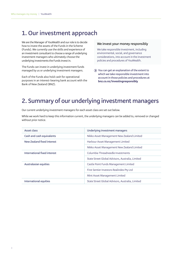## **1. Our investment approach**

We are the Manager of YouWealth and our role is to decide how to invest the assets of the Funds in the Scheme (Funds). We currently use the skills and experience of an investment consultant to choose a range of underlying investment managers who ultimately choose the underlying investments the Funds invest in.

The Funds can invest in underlying investment funds managed by us or underlying investment managers.

Each of the Funds also hold cash for operational purposes in an interest-bearing bank account with the Bank of New Zealand (BNZ).

#### **We invest your money responsibly**

We take responsible investment, including environmental, social, and governance considerations, into account in the investment policies and procedures of YouWealth.

 **You can get an explanation of the extent to which we take responsible investment into account in those policies and procedures at bnz.co.nz/investingresponsibly**

# **2. Summary of our underlying investment managers**

Our current underlying investment managers for each asset class are set out below.

While we work hard to keep this information current, the underlying managers can be added to, removed or changed without prior notice.

| Asset class                  | Underlying investment managers                   |  |
|------------------------------|--------------------------------------------------|--|
| Cash and cash equivalents    | Nikko Asset Management New Zealand Limited       |  |
| New Zealand fixed interest   | Harbour Asset Management Limited                 |  |
|                              | Nikko Asset Management New Zealand Limited       |  |
| International fixed interest | Columbia Threadneedle Investments                |  |
|                              | State Street Global Advisors, Australia, Limited |  |
| Australasian equities        | Castle Point Funds Management Limited            |  |
|                              | First Sentier Investors Realindex Pty Ltd        |  |
|                              | Mint Asset Management Limited                    |  |
| International equities       | State Street Global Advisors, Australia, Limited |  |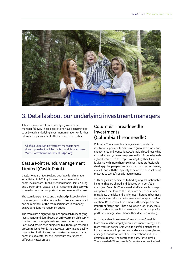

# **3. Details about our underlying investment managers**

A brief description of each underlying investment manager follows. These descriptions have been provided to us by each underlying investment manager. For further information please refer to their respective websites.

All of our underlying investment managers have signed up to the Principles for Responsible Investment. More information is available at **unpri.org**

#### **Castle Point Funds Management Limited (Castle Point)**

Castle Point is a New Zealand boutique fund manager, established in 2013 by its investment team, which comprises Richard Stubbs, Stephen Bennie, Jamie Young and Gordon Sims. Castle Point's investment philosophy is focused on long-term opportunities and investor alignment.

The team is experienced and the shared philosophy allows for robust, constructive debate. Portfolios are co-managed and all members of the team participate in company analysis and fund management duties.

The team uses a highly disciplined approach to identifying investment candidates based on an investment philosophy that focuses on long-term investment performance. Each candidate is then subjected to a thorough research process to identify only the best value, growth, and quality companies. Portfolios are then constructed around these companies to cater for the risk/return tolerances of different investor groups.

#### **Columbia Threadneedle Investments (Columbia Threadneedle)**

Columbia Threadneedle manages investments for institutions, pension funds, sovereign wealth funds, and endowments and foundations. Columbia Threadneedle has expansive reach, currently represented in 17 countries with a global team of 2,000 people working together. Expertise is diverse with more than 450 investment professionals sharing global perspectives across all major asset classes, markets and with the capability to create bespoke solutions matched to clients' specific requirements.

180 analysts are dedicated to finding original, actionable insights that are shared and debated with portfolio managers. Columbia Threadneedle believes well-managed companies that look to the future are better positioned to navigate the risks and challenges inherent in business and achieve sustainable performance and long-term value creation. Responsible Investment (RI) principles are an important factor, and it has developed proprietary tools that provide a robust RI framework and better analysis for portfolio managers to enhance their decision-making.

An independent Investment Consultancy & Oversight team ensures the integrity of an investment strategy. The team works in partnership with its portfolio managers to foster continuous improvement and ensure strategies are managed consistent with client expectations and their desired outcome. The contracting party for Columbia Threadneedle is Threadneedle Asset Management Limited.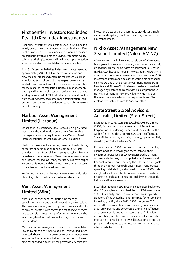### **First Sentier Investors Realindex Pty Ltd (Realindex Investments)**

Realindex Investments was established in 2008 and is a wholly owned investment management subsidiary of First Sentier Investors (FSI). Realindex Investments is focused on partnering with clients to provide systematic equity solutions utilising its index and intelligent implementation, smart beta and active quantitative equity capabilities.

As at 31 December 2020 Realindex Investments managed approximately AUD 30 billion across Australian and New Zealand, global and emerging market shares. It has a dedicated team of portfolio managers, quantitative analysts, and product and client specialists responsible for the research, construction, portfolio management, trading and institutional sales and service of its underlying strategies. As a part of FSI, Realindex Investments benefits from the IT systems, back office and administration, legal, dealing, compliance and distribution support from a strong parent company.

#### **Harbour Asset Management Limited (Harbour)**

Established in December 2009, Harbour is a highly rated New Zealand-based funds management firm. Harbour manages Australasian equities and New Zealand fixed interest securities, as well as multi-asset solutions.

Harbour's clients include large government institutions, corporate superannuation funds, community trusts, charities, family offices, philanthropic groups, iwi, KiwiSaver providers and retail investors. Years of experience as a team and lessons learned over many market cycles have helped Harbour craft robust and disciplined investment processes for equities and fixed interest securities.

Environmental, Social and Governance (ESG) considerations play a key role in Harbour's investment decisions.

#### **Mint Asset Management Limited (Mint)**

Mint is an independent, boutique fund manager established in 2006 and based in Auckland, New Zealand. The business is wholly owned by its employees and looks to provide investors with access to a team of experienced and successful investment professionals. Mint sees the key strengths of its business as its size, structure and independence.

Mint is an active manager and uses its own research to invest in companies it believes to be undervalued. Once invested, these positions are monitored continuously to ensure the fundamentals behind the decision to invest have not changed. As a result, the portfolios reflect its best investment ideas and are structured to provide sustainable income and capital growth, with a strong emphasis on risk management.

### **Nikko Asset Management New Zealand Limited (Nikko AM NZ)**

Nikko AM NZ is a wholly owned subsidiary of Nikko Asset Management International Limited, which in turn is a wholly owned subsidiary of Nikko Asset Management Co. Limited (Nikko AM), headquartered in Tokyo, Japan. Nikko AM is a dedicated global asset manager with approximately 200 investment professionals across the world's major financial centres. As one of the largest investment managers in New Zealand, Nikko AM NZ believes investments are best managed by sector specialists within a comprehensive risk management framework. Nikko AM NZ manages the investment of cash and cash equivalents and New Zealand fixed interest from its Auckland office.

### **State Street Global Advisors, Australia, Limited (State Street)**

Established in 1978, State Street Global Advisors Limited (SSGA) is the asset management arm of State Street Corporation, an indexing pioneer and the creator of the world's first ETFs. The State Street Australian office (State Street Global Advisors, Australia, Limited), opened in 1991, is a wholly owned subsidiary of SSGA.

For four decades, SSGA has been committed to helping clients, and those who rely on them, achieve their investment objectives. SSGA have partnered with many of the world's largest, most sophisticated investors and financial intermediaries, helping them to reach their goals through a rigorous, research-driven investment process spanning both indexing and active disciplines. SSGA's scale and global reach offer clients unrivaled access to markets, geographies and asset classes, and in delivering thoughtful insights and innovative solutions.

SSGA's heritage as an ESG investing leader goes back more than 35 years, having launched the first ESG mandate in 1985. As an early leader in low-carbon investing and a signatory of the United Nations Principles for Responsible Investing (UNPRI) since 2012, SSGA integrates ESG across all investment teams and is a recognised leader in asset stewardship and corporate governance. Effective asset stewardship lies at the heart of SSGA's fiduciary responsibility. A robust and extensive asset stewardship program is a key pillar in the overall ESG approach and this program is designed to promote long-term sustainable returns on behalf of its clients.